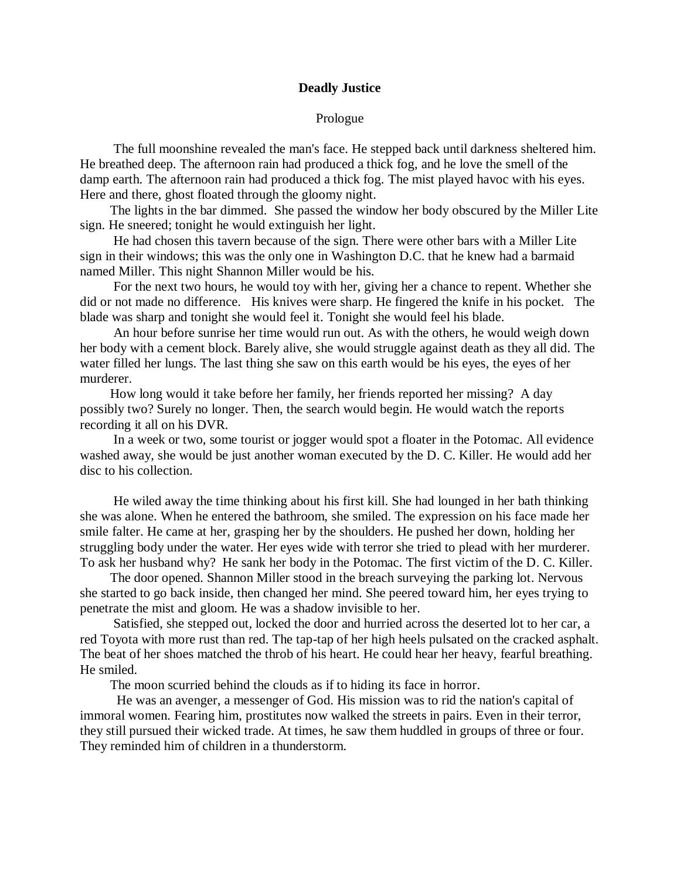## **Deadly Justice**

## Prologue

 The full moonshine revealed the man's face. He stepped back until darkness sheltered him. He breathed deep. The afternoon rain had produced a thick fog, and he love the smell of the damp earth. The afternoon rain had produced a thick fog. The mist played havoc with his eyes. Here and there, ghost floated through the gloomy night.

 The lights in the bar dimmed. She passed the window her body obscured by the Miller Lite sign. He sneered; tonight he would extinguish her light.

 He had chosen this tavern because of the sign. There were other bars with a Miller Lite sign in their windows; this was the only one in Washington D.C. that he knew had a barmaid named Miller. This night Shannon Miller would be his.

 For the next two hours, he would toy with her, giving her a chance to repent. Whether she did or not made no difference. His knives were sharp. He fingered the knife in his pocket. The blade was sharp and tonight she would feel it. Tonight she would feel his blade.

 An hour before sunrise her time would run out. As with the others, he would weigh down her body with a cement block. Barely alive, she would struggle against death as they all did. The water filled her lungs. The last thing she saw on this earth would be his eyes, the eyes of her murderer.

 How long would it take before her family, her friends reported her missing? A day possibly two? Surely no longer. Then, the search would begin. He would watch the reports recording it all on his DVR.

 In a week or two, some tourist or jogger would spot a floater in the Potomac. All evidence washed away, she would be just another woman executed by the D. C. Killer. He would add her disc to his collection.

 He wiled away the time thinking about his first kill. She had lounged in her bath thinking she was alone. When he entered the bathroom, she smiled. The expression on his face made her smile falter. He came at her, grasping her by the shoulders. He pushed her down, holding her struggling body under the water. Her eyes wide with terror she tried to plead with her murderer. To ask her husband why? He sank her body in the Potomac. The first victim of the D. C. Killer.

 The door opened. Shannon Miller stood in the breach surveying the parking lot. Nervous she started to go back inside, then changed her mind. She peered toward him, her eyes trying to penetrate the mist and gloom. He was a shadow invisible to her.

 Satisfied, she stepped out, locked the door and hurried across the deserted lot to her car, a red Toyota with more rust than red. The tap-tap of her high heels pulsated on the cracked asphalt. The beat of her shoes matched the throb of his heart. He could hear her heavy, fearful breathing. He smiled.

The moon scurried behind the clouds as if to hiding its face in horror.

 He was an avenger, a messenger of God. His mission was to rid the nation's capital of immoral women. Fearing him, prostitutes now walked the streets in pairs. Even in their terror, they still pursued their wicked trade. At times, he saw them huddled in groups of three or four. They reminded him of children in a thunderstorm.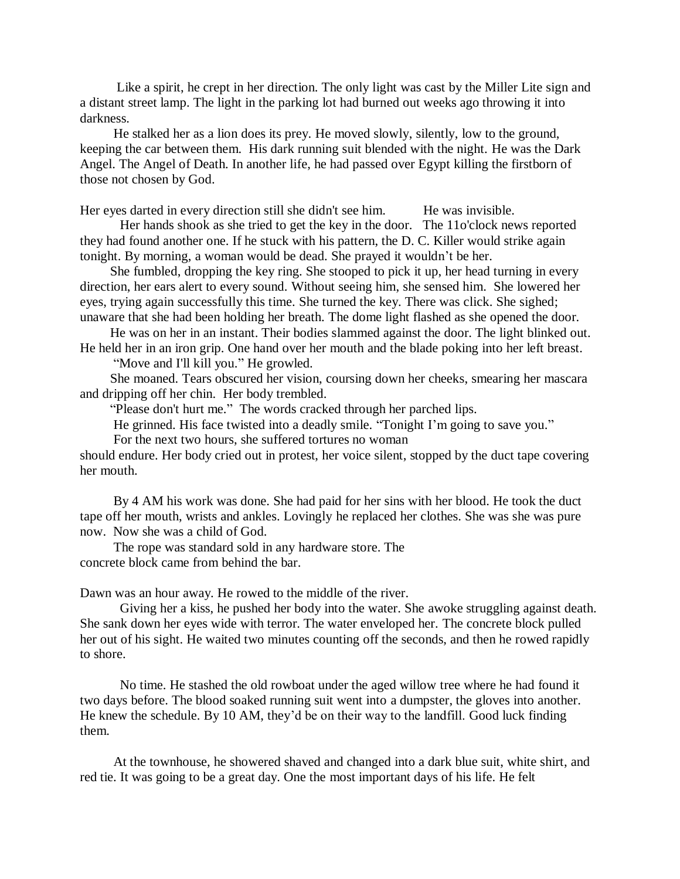Like a spirit, he crept in her direction. The only light was cast by the Miller Lite sign and a distant street lamp. The light in the parking lot had burned out weeks ago throwing it into darkness.

 He stalked her as a lion does its prey. He moved slowly, silently, low to the ground, keeping the car between them. His dark running suit blended with the night. He was the Dark Angel. The Angel of Death. In another life, he had passed over Egypt killing the firstborn of those not chosen by God.

Her eyes darted in every direction still she didn't see him. He was invisible.

Her hands shook as she tried to get the key in the door. The 11o'clock news reported they had found another one. If he stuck with his pattern, the D. C. Killer would strike again tonight. By morning, a woman would be dead. She prayed it wouldn't be her.

 She fumbled, dropping the key ring. She stooped to pick it up, her head turning in every direction, her ears alert to every sound. Without seeing him, she sensed him. She lowered her eyes, trying again successfully this time. She turned the key. There was click. She sighed; unaware that she had been holding her breath. The dome light flashed as she opened the door.

 He was on her in an instant. Their bodies slammed against the door. The light blinked out. He held her in an iron grip. One hand over her mouth and the blade poking into her left breast.

"Move and I'll kill you." He growled.

 She moaned. Tears obscured her vision, coursing down her cheeks, smearing her mascara and dripping off her chin. Her body trembled.

"Please don't hurt me." The words cracked through her parched lips.

He grinned. His face twisted into a deadly smile. "Tonight I'm going to save you."

For the next two hours, she suffered tortures no woman

should endure. Her body cried out in protest, her voice silent, stopped by the duct tape covering her mouth.

 By 4 AM his work was done. She had paid for her sins with her blood. He took the duct tape off her mouth, wrists and ankles. Lovingly he replaced her clothes. She was she was pure now. Now she was a child of God.

 The rope was standard sold in any hardware store. The concrete block came from behind the bar.

Dawn was an hour away. He rowed to the middle of the river.

Giving her a kiss, he pushed her body into the water. She awoke struggling against death. She sank down her eyes wide with terror. The water enveloped her. The concrete block pulled her out of his sight. He waited two minutes counting off the seconds, and then he rowed rapidly to shore.

No time. He stashed the old rowboat under the aged willow tree where he had found it two days before. The blood soaked running suit went into a dumpster, the gloves into another. He knew the schedule. By 10 AM, they'd be on their way to the landfill. Good luck finding them.

 At the townhouse, he showered shaved and changed into a dark blue suit, white shirt, and red tie. It was going to be a great day. One the most important days of his life. He felt